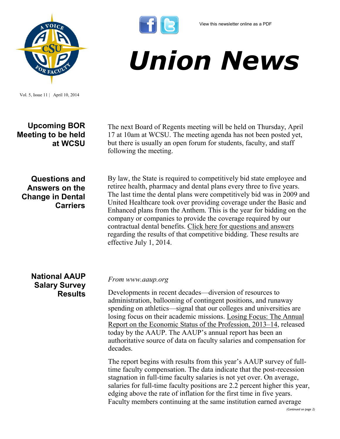

Vol. 5, Issue 11 | April 10, 2014

**Upcoming BOR Meeting to be held at WCSU**

The next Board of Regents meeting will be held on Thursday, April 17 at 10am at WCSU. The meeting agenda has not been posted yet, but there is usually an open forum for students, faculty, and staff following the meeting.

*Union News*

**Questions and Answers on the Change in Dental Carriers**  By law, the State is required to competitively bid state employee and retiree health, pharmacy and dental plans every three to five years. The last time the dental plans were competitively bid was in 2009 and United Healthcare took over providing coverage under the Basic and Enhanced plans from the Anthem. This is the year for bidding on the company or companies to provide the coverage required by our contractual dental benefits. [Click here for questions and answers](http://www.csuaaup.org/wp-content/uploads/2014/04/dental-qA.pdf) regarding the results of that competitive bidding. These results are effective July 1, 2014.

**National AAUP Salary Survey Results**

*From www.aaup.org*

Developments in recent decades—diversion of resources to administration, ballooning of contingent positions, and runaway spending on athletics—signal that our colleges and universities are losing focus on their academic missions. [Losing Focus: The Annual](http://www.aaup.org/reports-publications/2013-14salarysurvey)  [Report on the Economic Status of the Profession, 2013–14,](http://www.aaup.org/reports-publications/2013-14salarysurvey) released today by the AAUP. The AAUP's annual report has been an authoritative source of data on faculty salaries and compensation for decades.

The report begins with results from this year's AAUP survey of fulltime faculty compensation. The data indicate that the post-recession stagnation in full-time faculty salaries is not yet over. On average, salaries for full-time faculty positions are 2.2 percent higher this year, edging above the rate of inflation for the first time in five years. Faculty members continuing at the same institution earned average